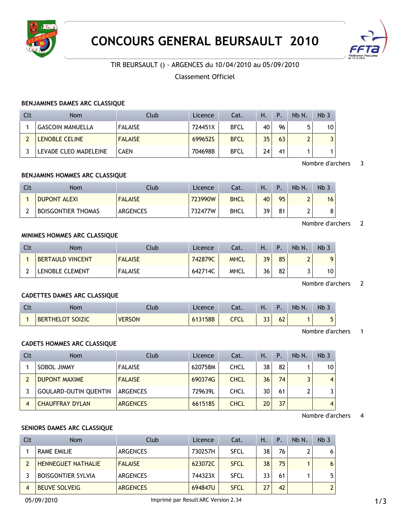



# TIR BEURSAULT () - ARGENCES du 10/04/2010 au 05/09/2010

## Classement Officiel

#### **BENJAMINES DAMES ARC CLASSIQUE**

| Clt | Nom                     | Club           | Licence | Cat.        | Ή. | Ρ. | Nb N. | Nb <sub>3</sub> |
|-----|-------------------------|----------------|---------|-------------|----|----|-------|-----------------|
|     | <b>GASCOIN MANUELLA</b> | <b>FALAISE</b> | 724451X | <b>BFCL</b> | 40 | 96 |       | 10              |
|     | <b>LENOBLE CELINE</b>   | <b>FALAISE</b> | 699652S | <b>BFCL</b> | 35 | 63 |       |                 |
|     | LEVADE CLEO MADELEINE   | <b>CAEN</b>    | 704698B | <b>BFCL</b> | 24 | 41 |       |                 |

### Nombre d'archers 3

#### **BENJAMINS HOMMES ARC CLASSIQUE**

| Nom                       | Club            | Licence | ۵t.         | н. | D  | Nb N. | Nb <sub>3</sub> |
|---------------------------|-----------------|---------|-------------|----|----|-------|-----------------|
| <b>DUPONT ALEXI</b>       | <b>FALAISE</b>  | 723990W | <b>BHCL</b> | 40 | 95 |       | 16              |
| <b>BOISGONTIER THOMAS</b> | <b>ARGENCES</b> | 732477W | <b>BHCL</b> | ٦۵ | 81 |       | $\circ$         |

#### Nombre d'archers 2

## **MINIMES HOMMES ARC CLASSIQUE**

| Clt | <b>Nom</b>              | Club           | Licence | Cat.        | Ή. |    | Nb N. | Nb. |
|-----|-------------------------|----------------|---------|-------------|----|----|-------|-----|
|     | <b>BERTAULD VINCENT</b> | <b>FALAISE</b> | 742879C | <b>MHCL</b> | 39 | 85 | າ     | 9   |
|     | LENOBLE CLEMENT         | <b>FALAISE</b> | 642714C | <b>MHCL</b> | 36 | 82 |       | 10  |

## Nombre d'archers 2

### **CADETTES DAMES ARC CLASSIQUE**

| ิเเ | Nom                     | Llub          | Licence | - 51<br>Jac. | Η.                 |                                       | Nb N. | <b>Nb</b> |
|-----|-------------------------|---------------|---------|--------------|--------------------|---------------------------------------|-------|-----------|
|     | <b>BERTHELOT SOIZIC</b> | <b>VERSON</b> | 613158B | CFCL         | $\mathbf{a}$<br>دد | $\overline{\phantom{a}}$<br><b>DZ</b> |       | -<br>٠    |

Nombre d'archers 1

### **CADETS HOMMES ARC CLASSIQUE**

| Clt | <b>Nom</b>                   | Club            | Licence | Cat.        | Η. | P. | Nb N. | Nb <sub>3</sub> |
|-----|------------------------------|-----------------|---------|-------------|----|----|-------|-----------------|
|     | SOBOL JIMMY                  | <b>FALAISE</b>  | 620758M | <b>CHCL</b> | 38 | 82 |       | 10              |
|     | <b>DUPONT MAXIME</b>         | <b>FALAISE</b>  | 690374G | <b>CHCL</b> | 36 | 74 |       | $\overline{4}$  |
|     | <b>GOULARD-OUTIN QUENTIN</b> | <b>ARGENCES</b> | 729639L | <b>CHCL</b> | 30 | 61 |       | 3               |
|     | <b>CHAUFFRAY DYLAN</b>       | <b>ARGENCES</b> | 661518S | <b>CHCL</b> | 20 | 37 |       | $\overline{4}$  |

#### Nombre d'archers 4

#### **SENIORS DAMES ARC CLASSIQUE**

| Clt | <b>Nom</b>                | Club            | Licence | Cat.        | H. | $\mathsf{P}$ . | Nb N. | Nb <sub>3</sub> |
|-----|---------------------------|-----------------|---------|-------------|----|----------------|-------|-----------------|
|     | <b>RAME EMILIE</b>        | <b>ARGENCES</b> | 730257H | <b>SFCL</b> | 38 | 76             |       | 6               |
|     | <b>HENNEGUET NATHALIE</b> | <b>FALAISE</b>  | 623072C | <b>SFCL</b> | 38 | 75             |       | 6               |
|     | <b>BOISGONTIER SYLVIA</b> | <b>ARGENCES</b> | 744323X | <b>SFCL</b> | 33 | 61             |       | 5               |
|     | <b>BEUVE SOLVEIG</b>      | <b>ARGENCES</b> | 694847U | <b>SFCL</b> | 27 | 42             |       | $\overline{2}$  |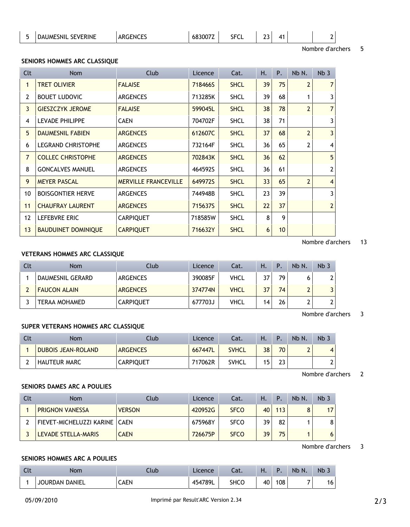| <b>SEVERINE</b><br><b>DAUMESNIL</b> | חחמורים<br>⊩N0<br>.<br>◡ | $\cdots$<br>68 | ---<br><b>SFUL</b> | $\sim$<br>-- |  |  |
|-------------------------------------|--------------------------|----------------|--------------------|--------------|--|--|
|                                     |                          |                |                    |              |  |  |

Nombre d'archers 5

#### **SENIORS HOMMES ARC CLASSIQUE**

| Clt               | Nom                        | Club                        | Licence | Cat.        | Η. | Ρ. | Nb N.          | Nb <sub>3</sub> |
|-------------------|----------------------------|-----------------------------|---------|-------------|----|----|----------------|-----------------|
|                   | <b>TRET OLIVIER</b>        | <b>FALAISE</b>              | 718466S | <b>SHCL</b> | 39 | 75 | $\overline{2}$ | 7 <sup>1</sup>  |
| $\overline{2}$    | <b>BOUET LUDOVIC</b>       | <b>ARGENCES</b>             | 713285K | <b>SHCL</b> | 39 | 68 | 1              | $\overline{3}$  |
| 3                 | <b>GIESZCZYK JEROME</b>    | <b>FALAISE</b>              | 599045L | <b>SHCL</b> | 38 | 78 | $\overline{2}$ | 7 <sup>1</sup>  |
| 4                 | <b>LEVADE PHILIPPE</b>     | <b>CAEN</b>                 | 704702F | <b>SHCL</b> | 38 | 71 |                | $\overline{3}$  |
| 5                 | <b>DAUMESNIL FABIEN</b>    | <b>ARGENCES</b>             | 612607C | <b>SHCL</b> | 37 | 68 | $\overline{2}$ | 3 <sup>1</sup>  |
| 6                 | <b>LEGRAND CHRISTOPHE</b>  | <b>ARGENCES</b>             | 732164F | <b>SHCL</b> | 36 | 65 | 2              | $\vert$         |
| $\overline{7}$    | <b>COLLEC CHRISTOPHE</b>   | <b>ARGENCES</b>             | 702843K | <b>SHCL</b> | 36 | 62 |                | 5               |
| 8                 | <b>GONCALVES MANUEL</b>    | <b>ARGENCES</b>             | 464592S | <b>SHCL</b> | 36 | 61 |                | 2 <sup>1</sup>  |
| 9                 | <b>MEYER PASCAL</b>        | <b>MERVILLE FRANCEVILLE</b> | 649972S | <b>SHCL</b> | 33 | 65 | $\overline{2}$ | $\vert$         |
| 10                | <b>BOISGONTIER HERVE</b>   | <b>ARGENCES</b>             | 744948B | <b>SHCL</b> | 23 | 39 |                | $\overline{3}$  |
| 11                | <b>CHAUFRAY LAURENT</b>    | <b>ARGENCES</b>             | 715637S | <b>SHCL</b> | 22 | 37 |                | 2               |
| $12 \overline{ }$ | LEFEBVRE ERIC              | <b>CARPIQUET</b>            | 718585W | <b>SHCL</b> | 8  | 9  |                |                 |
| 13                | <b>BAUDUINET DOMINIQUE</b> | <b>CARPIQUET</b>            | 716632Y | <b>SHCL</b> | 6  | 10 |                |                 |

Nombre d'archers 13

## **VETERANS HOMMES ARC CLASSIQUE**

| Clt | <b>Nom</b>          | Club             | Licence | Cat.        | Ή. | Ρ. | Nb N. | Nb <sub>3</sub> |
|-----|---------------------|------------------|---------|-------------|----|----|-------|-----------------|
|     | DAUMESNIL GERARD    | ARGENCES         | 390085F | <b>VHCL</b> | 37 | 79 |       | 2               |
|     | <b>FAUCON ALAIN</b> | <b>ARGENCES</b>  | 374774N | <b>VHCL</b> | 37 | 74 |       |                 |
|     | TERAA MOHAMED       | <b>CARPIQUET</b> | 677703J | VHCL        | 14 | 26 |       | າ               |

Nombre d'archers 3

#### **SUPER VETERANS HOMMES ARC CLASSIQUE**

| Clt | <b>Nom</b>                | Club             | Licence | Cat.         | Η. |    | Nb N.                         | Nb <sub>3</sub> |
|-----|---------------------------|------------------|---------|--------------|----|----|-------------------------------|-----------------|
|     | <b>DUBOIS JEAN-ROLAND</b> | <b>ARGENCES</b>  | 667447L | <b>SVHCL</b> | 38 | 70 | $\overline{\phantom{0}}$<br>- | 4               |
|     | <b>HAUTEUR MARC</b>       | <b>CARPIQUET</b> | 717062R | <b>SVHCL</b> | 15 | 23 |                               | ∽<br>∸          |

Nombre d'archers 2

## **SENIORS DAMES ARC A POULIES**

| Clt | <b>Nom</b>                      | Club          | Licence | Cat.        | Н. | Р.  | Nb N. | Nb <sub>3</sub> |
|-----|---------------------------------|---------------|---------|-------------|----|-----|-------|-----------------|
|     | <b>PRIGNON VANESSA</b>          | <b>VERSON</b> | 420952G | <b>SFCO</b> | 40 | 113 | 8     | 17              |
|     | FIEVET-MICHELUZZI KARINE   CAEN |               | 675968Y | <b>SFCO</b> | 39 | 82  |       | 8               |
|     | LEVADE STELLA-MARIS             | <b>CAEN</b>   | 726675P | <b>SFCO</b> | 39 | 75  |       | 6               |

Nombre d'archers 3

#### **SENIORS HOMMES ARC A POULIES**

| <b>STATISTICS</b> | Nom                   | lub. | Licence | Cat.        | п. |     | Nb N. | <b>Nb</b> |
|-------------------|-----------------------|------|---------|-------------|----|-----|-------|-----------|
|                   | <b>JOURDAN DANIEL</b> | CAEN | 454789L | <b>SHCC</b> | 40 | 108 | -     | 16        |